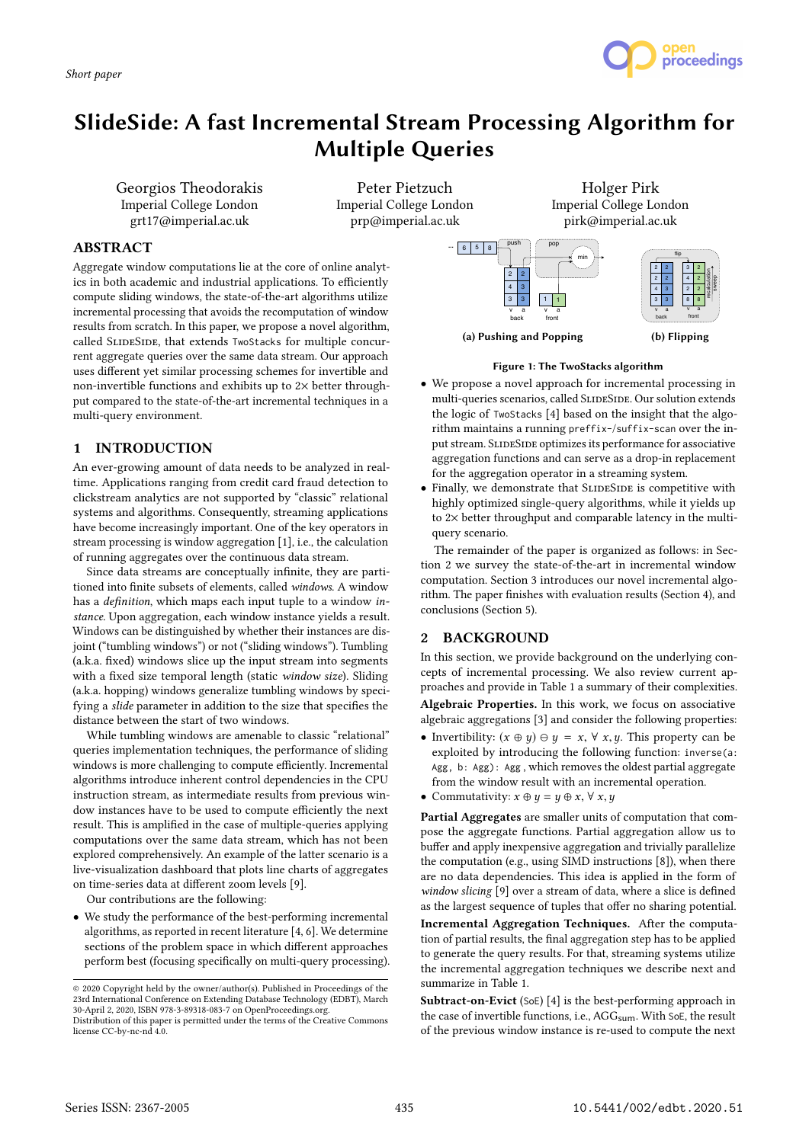*Short paper*



# SlideSide: A fast Incremental Stream Processing Algorithm for Multiple Queries

Georgios Theodorakis Imperial College London grt17@imperial.ac.uk

Peter Pietzuch Imperial College London prp@imperial.ac.uk

Holger Pirk Imperial College London pirk@imperial.ac.uk

# ABSTRACT

Aggregate window computations lie at the core of online analytics in both academic and industrial applications. To efficiently compute sliding windows, the state-of-the-art algorithms utilize incremental processing that avoids the recomputation of window results from scratch. In this paper, we propose a novel algorithm, called SLIDESIDE, that extends TwoStacks for multiple concurrent aggregate queries over the same data stream. Our approach uses different yet similar processing schemes for invertible and non-invertible functions and exhibits up to 2× better throughput compared to the state-of-the-art incremental techniques in a multi-query environment.

# 1 INTRODUCTION

An ever-growing amount of data needs to be analyzed in realtime. Applications ranging from credit card fraud detection to clickstream analytics are not supported by "classic" relational systems and algorithms. Consequently, streaming applications have become increasingly important. One of the key operators in stream processing is window aggregation [1], i.e., the calculation of running aggregates over the continuous data stream.

Since data streams are conceptually infinite, they are partitioned into finite subsets of elements, called windows. A window has a definition, which maps each input tuple to a window instance. Upon aggregation, each window instance yields a result. Windows can be distinguished by whether their instances are disjoint ("tumbling windows") or not ("sliding windows"). Tumbling (a.k.a. fixed) windows slice up the input stream into segments with a fixed size temporal length (static window size). Sliding (a.k.a. hopping) windows generalize tumbling windows by specifying a slide parameter in addition to the size that specifies the distance between the start of two windows.

While tumbling windows are amenable to classic "relational" queries implementation techniques, the performance of sliding windows is more challenging to compute efficiently. Incremental algorithms introduce inherent control dependencies in the CPU instruction stream, as intermediate results from previous window instances have to be used to compute efficiently the next result. This is amplified in the case of multiple-queries applying computations over the same data stream, which has not been explored comprehensively. An example of the latter scenario is a live-visualization dashboard that plots line charts of aggregates on time-series data at different zoom levels [9].

Our contributions are the following:

• We study the performance of the best-performing incremental algorithms, as reported in recent literature [4, 6]. We determine sections of the problem space in which different approaches perform best (focusing specifically on multi-query processing).



## Figure 1: The TwoStacks algorithm

- We propose a novel approach for incremental processing in multi-queries scenarios, called SLIDESIDE. Our solution extends the logic of TwoStacks [4] based on the insight that the algorithm maintains a running preffix-/suffix-scan over the input stream. SLIDESIDE optimizes its performance for associative aggregation functions and can serve as a drop-in replacement for the aggregation operator in a streaming system.
- Finally, we demonstrate that SLIDESIDE is competitive with highly optimized single-query algorithms, while it yields up to 2× better throughput and comparable latency in the multiquery scenario.

The remainder of the paper is organized as follows: in Section 2 we survey the state-of-the-art in incremental window computation. Section 3 introduces our novel incremental algorithm. The paper finishes with evaluation results (Section 4), and conclusions (Section 5).

## 2 BACKGROUND

In this section, we provide background on the underlying concepts of incremental processing. We also review current approaches and provide in Table 1 a summary of their complexities. Algebraic Properties. In this work, we focus on associative algebraic aggregations [3] and consider the following properties:

- Invertibility:  $(x \oplus y) \ominus y = x, \forall x, y$ . This property can be exploited by introducing the following function: inverse(a: Agg, b: Agg): Agg , which removes the oldest partial aggregate from the window result with an incremental operation.
- Commutativity:  $x \oplus y = y \oplus x, \forall x, y$

Partial Aggregates are smaller units of computation that compose the aggregate functions. Partial aggregation allow us to buffer and apply inexpensive aggregation and trivially parallelize the computation (e.g., using SIMD instructions [8]), when there are no data dependencies. This idea is applied in the form of window slicing [9] over a stream of data, where a slice is defined as the largest sequence of tuples that offer no sharing potential.

Incremental Aggregation Techniques. After the computation of partial results, the final aggregation step has to be applied to generate the query results. For that, streaming systems utilize the incremental aggregation techniques we describe next and summarize in Table 1.

Subtract-on-Evict (SoE) [4] is the best-performing approach in the case of invertible functions, i.e., AGG<sub>sum</sub>. With SoE, the result of the previous window instance is re-used to compute the next

<sup>©</sup> 2020 Copyright held by the owner/author(s). Published in Proceedings of the 23rd International Conference on Extending Database Technology (EDBT), March 30-April 2, 2020, ISBN 978-3-89318-083-7 on OpenProceedings.org. Distribution of this paper is permitted under the terms of the Creative Commons

license CC-by-nc-nd 4.0.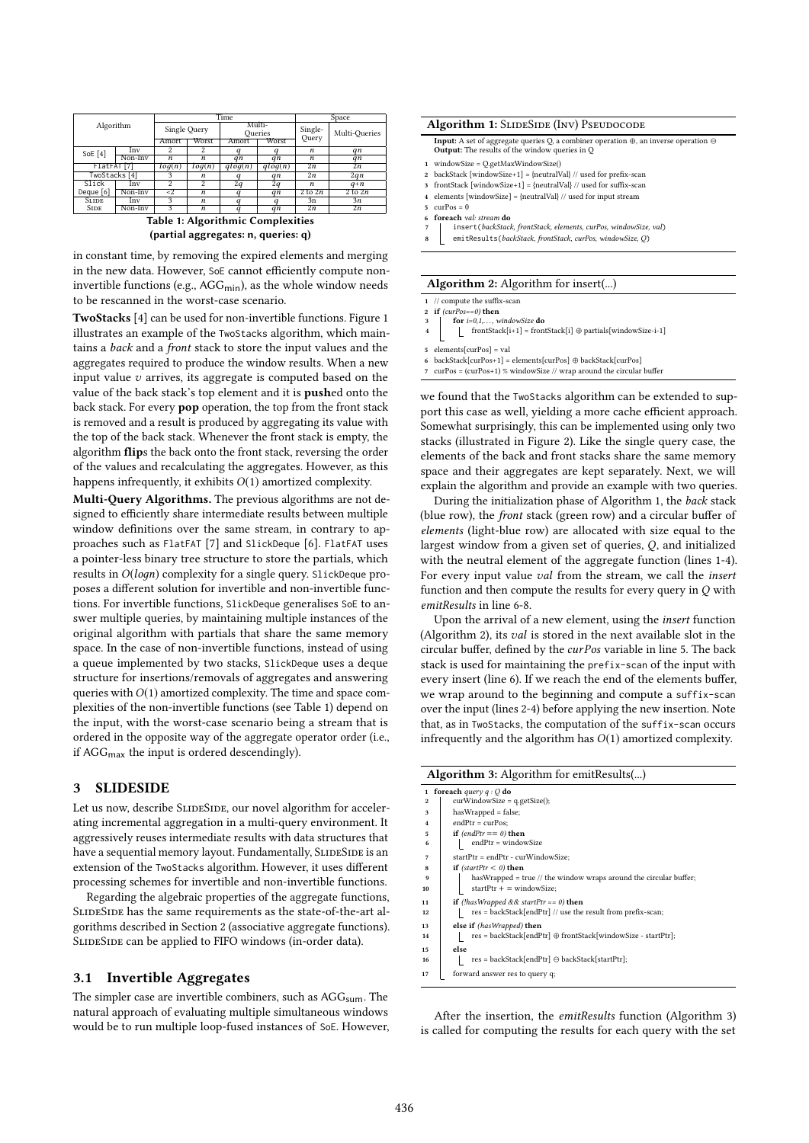| Algorithm                         |         | Time          |                |                   |         | Space              |                    |
|-----------------------------------|---------|---------------|----------------|-------------------|---------|--------------------|--------------------|
|                                   |         | Single Query  |                | Multi-<br>Oueries |         | Single-<br>Query   | Multi-Queries      |
|                                   |         | Amort         | Worst          | Amort             | Worst   |                    |                    |
| SoE $[4]$                         | Inv     | 2             | 2              |                   |         | $\boldsymbol{n}$   | qn                 |
|                                   | Non-Inv | n             | n              | qn                | qn      | n                  | qn                 |
| FlatFAT [7]                       |         | log(n)        | log(n)         | qlog(n)           | qlog(n) | 2n                 | $\overline{2n}$    |
| TwoStacks [4]                     |         | 3             | n              | q                 | qn      | 2n                 | 2qn                |
| Slick                             | Inv     | 2             | $\mathfrak{D}$ | 2q                | 2q      | n                  | $q+n$              |
| Deque $[6]$                       | Non-Inv | $\mathbf{<}2$ | n              | a                 | qn      | $2 \text{ to } 2n$ | $2 \text{ to } 2n$ |
| <b>SLIDE</b>                      | Inv     | 3             | n              |                   |         | 3n                 | 3n                 |
| <b>SIDE</b>                       | Non-Inv | 3             | n              | $\boldsymbol{a}$  | qn      | 2n                 | 2n                 |
| Table 1: Algorithmic Complexities |         |               |                |                   |         |                    |                    |

(partial aggregates: n, queries: q)

in constant time, by removing the expired elements and merging in the new data. However, SoE cannot efficiently compute noninvertible functions (e.g.,  $AGG_{min}$ ), as the whole window needs to be rescanned in the worst-case scenario.

TwoStacks [4] can be used for non-invertible functions. Figure 1 illustrates an example of the TwoStacks algorithm, which maintains a back and a front stack to store the input values and the aggregates required to produce the window results. When a new input value  $v$  arrives, its aggregate is computed based on the value of the back stack's top element and it is pushed onto the back stack. For every pop operation, the top from the front stack is removed and a result is produced by aggregating its value with the top of the back stack. Whenever the front stack is empty, the algorithm flips the back onto the front stack, reversing the order of the values and recalculating the aggregates. However, as this happens infrequently, it exhibits  $O(1)$  amortized complexity.

Multi-Query Algorithms. The previous algorithms are not designed to efficiently share intermediate results between multiple window definitions over the same stream, in contrary to approaches such as FlatFAT [7] and SlickDeque [6]. FlatFAT uses a pointer-less binary tree structure to store the partials, which results in  $O(logn)$  complexity for a single query. SlickDeque proposes a different solution for invertible and non-invertible functions. For invertible functions, SlickDeque generalises SoE to answer multiple queries, by maintaining multiple instances of the original algorithm with partials that share the same memory space. In the case of non-invertible functions, instead of using a queue implemented by two stacks, SlickDeque uses a deque structure for insertions/removals of aggregates and answering queries with  $O(1)$  amortized complexity. The time and space complexities of the non-invertible functions (see Table 1) depend on the input, with the worst-case scenario being a stream that is ordered in the opposite way of the aggregate operator order (i.e., if AGGmax the input is ordered descendingly).

## 3 SLIDESIDE

Let us now, describe SLIDESIDE, our novel algorithm for accelerating incremental aggregation in a multi-query environment. It aggressively reuses intermediate results with data structures that have a sequential memory layout. Fundamentally, SLIDESIDE is an extension of the TwoStacks algorithm. However, it uses different processing schemes for invertible and non-invertible functions.

Regarding the algebraic properties of the aggregate functions, SLIDESIDE has the same requirements as the state-of-the-art algorithms described in Section 2 (associative aggregate functions). SLIDESIDE can be applied to FIFO windows (in-order data).

## 3.1 Invertible Aggregates

The simpler case are invertible combiners, such as  $AGG<sub>sum</sub>$ . The natural approach of evaluating multiple simultaneous windows would be to run multiple loop-fused instances of SoE. However,

#### Algorithm 1: SLIDESIDE (INV) PSEUDOCODE

**Input:** A set of aggregate queries Q, a combiner operation  $\oplus$ , an inverse operation  $\ominus$ Output: The results of the window queries in C

- 1 windowSize = Q.getMaxWindowSize()
- 2 backStack [windowSize+1] = {neutralVal} // used for prefix-scan
- 3 frontStack [windowSize+1] = {neutralVal} // used for suffix-scan 4 elements [windowSize] = {neutralVal} // used for input stream
- 5 curPos = 0
- foreach val: stream do
- 7 insert(backStack, frontStack, elements, curPos, windowSize, val)
- 8 emitResults(backStack, frontStack, curPos, windowSize, Q)

#### Algorithm 2: Algorithm for insert(...)

1 // compute the suffix-scan

- 2 if  $(curPos == 0)$  then
- 3 **for**  $i=0,1,...$ , windowSize **do**<br>4 frontStack[i+1] = frontStack[i] ⊕ partials[windowSize-i-1]
- 5 elements[curPos] = val
- 
- 6 backStack[curPos+1] = elements[curPos] ⊕ backStack[curPos]
- 7 curPos = (curPos+1) % windowSize // wrap around the circular buffer

we found that the TwoStacks algorithm can be extended to support this case as well, yielding a more cache efficient approach. Somewhat surprisingly, this can be implemented using only two stacks (illustrated in Figure 2). Like the single query case, the elements of the back and front stacks share the same memory space and their aggregates are kept separately. Next, we will explain the algorithm and provide an example with two queries.

During the initialization phase of Algorithm 1, the back stack (blue row), the front stack (green row) and a circular buffer of elements (light-blue row) are allocated with size equal to the largest window from a given set of queries, Q, and initialized with the neutral element of the aggregate function (lines 1-4). For every input value val from the stream, we call the insert function and then compute the results for every query in Q with emitResults in line 6-8.

Upon the arrival of a new element, using the insert function (Algorithm 2), its val is stored in the next available slot in the circular buffer, defined by the curPos variable in line 5. The back stack is used for maintaining the prefix-scan of the input with every insert (line 6). If we reach the end of the elements buffer, we wrap around to the beginning and compute a suffix-scan over the input (lines 2-4) before applying the new insertion. Note that, as in TwoStacks, the computation of the suffix-scan occurs infrequently and the algorithm has  $O(1)$  amortized complexity.

| Algorithm 3: Algorithm for emitResults() |                                                                        |  |  |  |
|------------------------------------------|------------------------------------------------------------------------|--|--|--|
| foreach query $q:Q$ do<br>$\mathbf{1}$   |                                                                        |  |  |  |
| 2                                        | $curWindowSize = q.getSize();$                                         |  |  |  |
| 3                                        | $hasWrapped = false;$                                                  |  |  |  |
| $\overline{4}$                           | $endPtr = curPos:$                                                     |  |  |  |
| 5                                        | if $(endPtr == 0)$ then                                                |  |  |  |
| 6                                        | endPtr = windowSize                                                    |  |  |  |
| 7                                        | startPtr = endPtr - curWindowSize;                                     |  |  |  |
| 8                                        | if (startPtr < 0) then                                                 |  |  |  |
| 9                                        | has Wrapped $=$ true $//$ the window wraps around the circular buffer; |  |  |  |
| 10                                       | $startPtr + = windowSize;$                                             |  |  |  |
| 11                                       | <b>if</b> (!hasWrapped && startPtr == 0) <b>then</b>                   |  |  |  |
| 12                                       | $res = backStack[endPtr]$ // use the result from prefix-scan;          |  |  |  |
| 13                                       | else if (hasWrapped) then                                              |  |  |  |
| 14                                       | res = backStack[endPtr] ⊕ frontStack[windowSize - startPtr];           |  |  |  |
| 15                                       | else                                                                   |  |  |  |
| 16                                       | $res = backStack[endPtr] \ominus backStack[startPtr];$                 |  |  |  |
| 17                                       | forward answer res to query q;                                         |  |  |  |
|                                          |                                                                        |  |  |  |

After the insertion, the emitResults function (Algorithm 3) is called for computing the results for each query with the set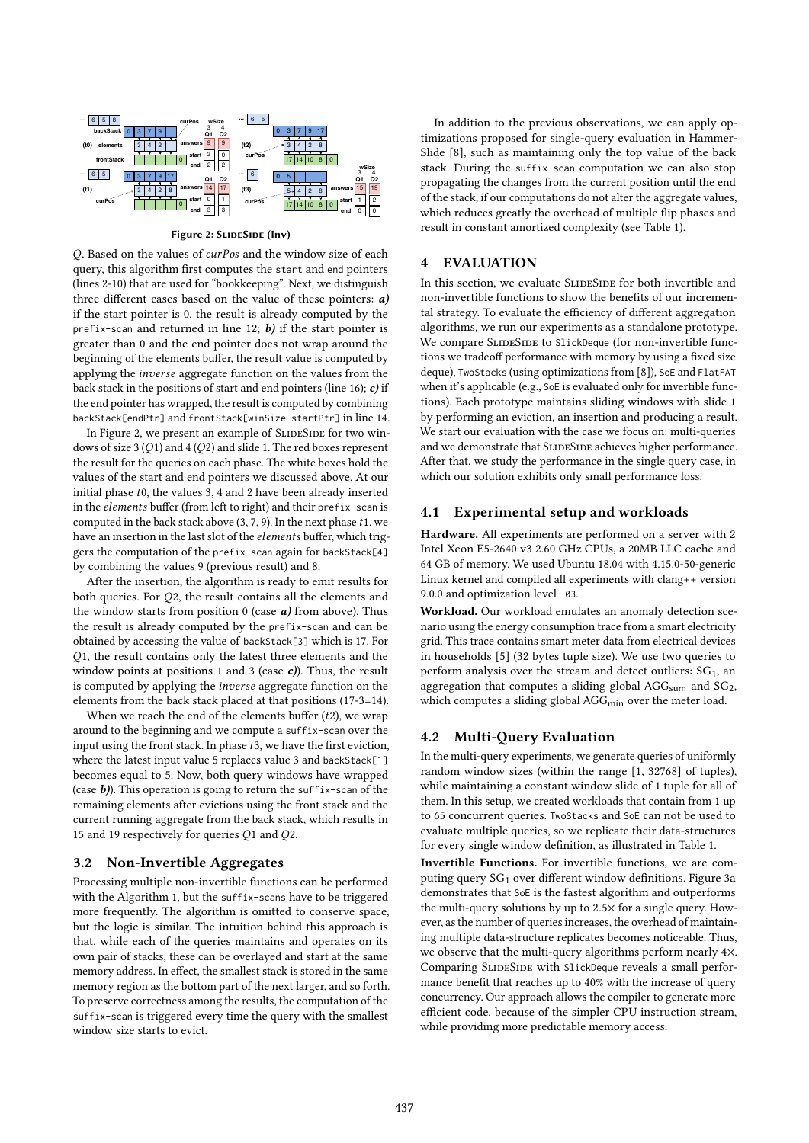

Figure 2: SLIDESIDE (Inv)

Q. Based on the values of curPos and the window size of each query, this algorithm first computes the start and end pointers (lines 2-10) that are used for "bookkeeping". Next, we distinguish three different cases based on the value of these pointers:  $a$ ) if the start pointer is 0, the result is already computed by the prefix-scan and returned in line 12;  $b$ ) if the start pointer is greater than 0 and the end pointer does not wrap around the beginning of the elements buffer, the result value is computed by applying the inverse aggregate function on the values from the back stack in the positions of start and end pointers (line 16);  $c$ ) if the end pointer has wrapped, the result is computed by combining backStack[endPtr] and frontStack[winSize-startPtr] in line 14.

In Figure 2, we present an example of SLIDESIDE for two windows of size 3 (Q1) and 4 (Q2) and slide 1. The red boxes represent the result for the queries on each phase. The white boxes hold the values of the start and end pointers we discussed above. At our initial phase t0, the values 3, <sup>4</sup> and <sup>2</sup> have been already inserted in the elements buffer (from left to right) and their prefix-scan is computed in the back stack above  $(3, 7, 9)$ . In the next phase  $t1$ , we have an insertion in the last slot of the elements buffer, which triggers the computation of the prefix-scan again for backStack[4] by combining the values 9 (previous result) and 8.

After the insertion, the algorithm is ready to emit results for both queries. For Q2, the result contains all the elements and the window starts from position  $0$  (case  $a$ ) from above). Thus the result is already computed by the prefix-scan and can be obtained by accessing the value of backStack[3] which is 17. For Q1, the result contains only the latest three elements and the window points at positions 1 and 3 (case  $c$ )). Thus, the result is computed by applying the inverse aggregate function on the elements from the back stack placed at that positions (17-3=14).

When we reach the end of the elements buffer  $(t2)$ , we wrap around to the beginning and we compute a suffix-scan over the input using the front stack. In phase  $t3$ , we have the first eviction, where the latest input value 5 replaces value 3 and backStack[1] becomes equal to 5. Now, both query windows have wrapped (case  $b$ )). This operation is going to return the suffix-scan of the remaining elements after evictions using the front stack and the current running aggregate from the back stack, which results in <sup>15</sup> and <sup>19</sup> respectively for queries Q<sup>1</sup> and Q2.

## 3.2 Non-Invertible Aggregates

Processing multiple non-invertible functions can be performed with the Algorithm 1, but the suffix-scans have to be triggered more frequently. The algorithm is omitted to conserve space, but the logic is similar. The intuition behind this approach is that, while each of the queries maintains and operates on its own pair of stacks, these can be overlayed and start at the same memory address. In effect, the smallest stack is stored in the same memory region as the bottom part of the next larger, and so forth. To preserve correctness among the results, the computation of the suffix-scan is triggered every time the query with the smallest window size starts to evict.

In addition to the previous observations, we can apply optimizations proposed for single-query evaluation in Hammer-Slide [8], such as maintaining only the top value of the back stack. During the suffix-scan computation we can also stop propagating the changes from the current position until the end of the stack, if our computations do not alter the aggregate values, which reduces greatly the overhead of multiple flip phases and result in constant amortized complexity (see Table 1).

## 4 EVALUATION

In this section, we evaluate SLIDESIDE for both invertible and non-invertible functions to show the benefits of our incremental strategy. To evaluate the efficiency of different aggregation algorithms, we run our experiments as a standalone prototype. We compare SLIDESIDE to SlickDeque (for non-invertible functions we tradeoff performance with memory by using a fixed size deque), TwoStacks (using optimizations from [8]), SoE and FlatFAT when it's applicable (e.g., SoE is evaluated only for invertible functions). Each prototype maintains sliding windows with slide 1 by performing an eviction, an insertion and producing a result. We start our evaluation with the case we focus on: multi-queries and we demonstrate that SLIDESIDE achieves higher performance. After that, we study the performance in the single query case, in which our solution exhibits only small performance loss.

## 4.1 Experimental setup and workloads

Hardware. All experiments are performed on a server with 2 Intel Xeon E5-2640 v3 2.60 GHz CPUs, a 20MB LLC cache and 64 GB of memory. We used Ubuntu 18.04 with 4.15.0-50-generic Linux kernel and compiled all experiments with clang++ version 9.0.0 and optimization level -03.

Workload. Our workload emulates an anomaly detection scenario using the energy consumption trace from a smart electricity grid. This trace contains smart meter data from electrical devices in households [5] (32 bytes tuple size). We use two queries to perform analysis over the stream and detect outliers:  $SG<sub>1</sub>$ , an aggregation that computes a sliding global  $AGG<sub>sum</sub>$  and  $SG<sub>2</sub>$ , which computes a sliding global AGG<sub>min</sub> over the meter load.

## 4.2 Multi-Query Evaluation

In the multi-query experiments, we generate queries of uniformly random window sizes (within the range [1, 32768] of tuples), while maintaining a constant window slide of 1 tuple for all of them. In this setup, we created workloads that contain from 1 up to 65 concurrent queries. TwoStacks and SoE can not be used to evaluate multiple queries, so we replicate their data-structures for every single window definition, as illustrated in Table 1.

Invertible Functions. For invertible functions, we are computing query SG<sub>1</sub> over different window definitions. Figure 3a demonstrates that SoE is the fastest algorithm and outperforms the multi-query solutions by up to <sup>2</sup>.5<sup>×</sup> for a single query. However, as the number of queries increases, the overhead of maintaining multiple data-structure replicates becomes noticeable. Thus, we observe that the multi-query algorithms perform nearly 4×. Comparing SLIDESIDE with SlickDeque reveals a small performance benefit that reaches up to 40% with the increase of query concurrency. Our approach allows the compiler to generate more efficient code, because of the simpler CPU instruction stream, while providing more predictable memory access.